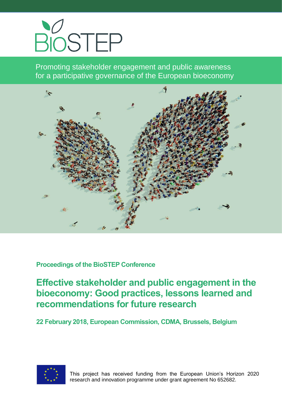

Promoting stakeholder engagement and public awareness for a participative governance of the European bioeconomy



**Proceedings of the BioSTEP Conference**

**Effective stakeholder and public engagement in the bioeconomy: Good practices, lessons learned and recommendations for future research**

**22 February 2018, European Commission, CDMA, Brussels, Belgium**

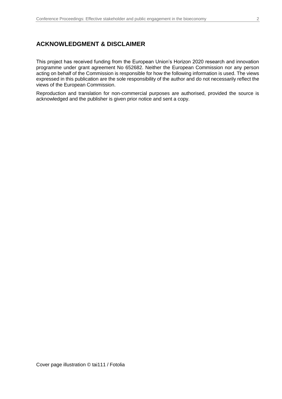### **ACKNOWLEDGMENT & DISCLAIMER**

This project has received funding from the European Union's Horizon 2020 research and innovation programme under grant agreement No 652682. Neither the European Commission nor any person acting on behalf of the Commission is responsible for how the following information is used. The views expressed in this publication are the sole responsibility of the author and do not necessarily reflect the views of the European Commission.

Reproduction and translation for non-commercial purposes are authorised, provided the source is acknowledged and the publisher is given prior notice and sent a copy.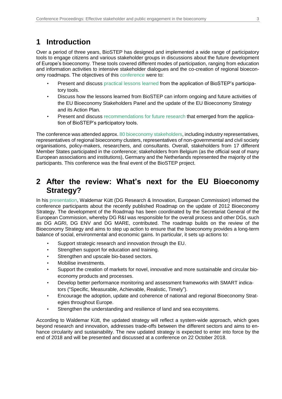# **1 Introduction**

Over a period of three years, BioSTEP has designed and implemented a wide range of participatory tools to engage citizens and various stakeholder groups in discussions about the future development of Europe's bioeconomy. These tools covered different modes of participation, ranging from education and information activities to intensive stakeholder dialogues and the co-creation of regional bioeconomy roadmaps. The objectives of this [conference](https://www.bio-step.eu/fileadmin/BioSTEP/Bio_events/BioSTEP_Conference_Agenda_Final.pdf) were to:

- Present and discuss [practical lessons learned](https://www.bio-step.eu/fileadmin/BioSTEP/Bio_documents/BioSTEP_D4.2_Lessons_learned_from_BioSTEP.pdf) from the application of BioSTEP's participatory tools.
- Discuss how the lessons learned from BioSTEP can inform ongoing and future activities of the EU Bioeconomy Stakeholders Panel and the update of the EU Bioeconomy Strategy and its Action Plan.
- Present and discuss [recommendations for future research](https://www.bio-step.eu/fileadmin/BioSTEP/Bio_documents/BioSTEP_Research_Recommendations_final.pdf) that emerged from the application of BioSTEP's participatory tools.

The conference was attended approx. 80 [bioeconomy stakeholders,](https://www.bio-step.eu/fileadmin/BioSTEP/Bio_events/BioSTEP_Conference_Participants.pdf) including industry representatives, representatives of regional bioeconomy clusters, representatives of non-governmental and civil society organisations, policy-makers, researchers, and consultants. Overall, stakeholders from 17 different Member States participated in the conference; stakeholders from Belgium (as the official seat of many European associations and institutions), Germany and the Netherlands represented the majority of the participants. This conference was the final event of the BioSTEP project.

# **2 After the review: What's next for the EU Bioeconomy Strategy?**

In his [presentation,](https://www.bio-step.eu/fileadmin/BioSTEP/Bio_documents/BioSTEP_Conference_Kuett_2018.pdf) Waldemar Kütt (DG Research & Innovation, European Commission) informed the conference participants about the recently published Roadmap on the update of 2012 Bioeconomy Strategy. The development of the Roadmap has been coordinated by the Secretariat General of the European Commission, whereby DG R&I was responsible for the overall process and other DGs, such as DG AGRI, DG ENV and DG MARE, contributed. The roadmap builds on the [review of the](https://ec.europa.eu/research/bioeconomy/pdf/review_of_2012_eu_bes.pdf#view=fit&pagemode=none)  [Bioeconomy Strategy](https://ec.europa.eu/research/bioeconomy/pdf/review_of_2012_eu_bes.pdf#view=fit&pagemode=none) and aims to step up action to ensure that the bioeconomy provides a long-term balance of social, environmental and economic gains. In particular, it sets up actions to:

- Support strategic research and innovation through the EU.
- Strengthen support for education and training.
- Strengthen and upscale bio-based sectors.
- Mobilise investments.
- Support the creation of markets for novel, innovative and more sustainable and circular bioeconomy products and processes.
- Develop better performance monitoring and assessment frameworks with SMART indicators ("Specific, Measurable, Achievable, Realistic, Timely").
- Encourage the adoption, update and coherence of national and regional Bioeconomy Strategies throughout Europe.
- Strengthen the understanding and resilience of land and sea ecosystems.

According to Waldemar Kütt, the updated strategy will reflect a system-wide approach, which goes beyond research and innovation, addresses trade-offs between the different sectors and aims to enhance circularity and sustainability. The new updated strategy is expected to enter into force by the end of 2018 and will be presented and discussed at a conference on 22 October 2018.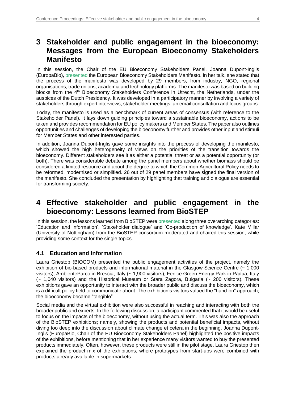# **3 Stakeholder and public engagement in the bioeconomy: Messages from the European Bioeconomy Stakeholders Manifesto**

In this session, the Chair of the EU Bioeconomy Stakeholders Panel, Joanna Dupont-Inglis (EuropaBio), [presented](https://www.bio-step.eu/fileadmin/BioSTEP/Bio_events/BioSTEP_Conference_Dupont-Ingles.pdf) the European Bioeconomy Stakeholders Manifesto. In her talk, she stated that the process of the manifesto was developed by 29 members, from industry, NGO, regional organisations, trade unions, academia and technology platforms. The manifesto was based on building blocks from the 4<sup>th</sup> Bioeconomy Stakeholders Conference in Utrecht, the Netherlands, under the auspices of the Dutch Presidency. It was developed in a participatory manner by involving a variety of stakeholders through expert interviews, stakeholder meetings, an email consultation and focus groups.

Today, the manifesto is used as a benchmark of current areas of consensus (with reference to the Stakeholder Panel). It lays down guiding principles toward a sustainable bioeconomy, actions to be taken and provides recommendation for EU policy makers and Member States. The paper also outlines opportunities and challenges of developing the bioeconomy further and provides other input and stimuli for Member States and other interested parties.

In addition, Joanna Dupont-Inglis gave some insights into the process of developing the manifesto, which showed the high heterogeneity of views on the priorities of the transition towards the bioeconomy. Different stakeholders see it as either a potential threat or as a potential opportunity (or both). There was considerable debate among the panel members about whether biomass should be considered a limited resource and about the degree to which the Common Agricultural Policy needs to be reformed, modernised or simplified. 26 out of 29 panel members have signed the final version of the manifesto. She concluded the presentation by highlighting that training and dialogue are essential for transforming society.

# **4 Effective stakeholder and public engagement in the bioeconomy: Lessons learned from BioSTEP**

In this session, the lessons learned from BioSTEP wer[e presented](https://www.bio-step.eu/fileadmin/BioSTEP/Bio_events/BioSTEP_Conference_Lessons_Learned.pdf) along three overarching categories: 'Education and information', 'Stakeholder dialogue' and 'Co-production of knowledge'. Kate Millar (University of Nottingham) from the BioSTEP consortium moderated and chaired this session, while providing some context for the single topics.

### **4.1 Education and Information**

Laura Griestop (BIOCOM) presented the public engagement activities of the project, namely the exhibition of bio-based products and informational material in the Glasgow Science Centre (~ 1,000 visitors), AmbienteParco in Brescia, Italy (~ 1,900 visitors), Fenice Green Energy Park in Padua, Italy (~ 1,040 visitors) and the Historical Museum or Stara Zagora, Bulgaria (~ 200 visitors). These exhibitions gave an opportunity to interact with the broader public and discuss the bioeconomy, which is a difficult policy field to communicate about. The exhibition's visitors valued the "hand-on" approach; the bioeconomy became "tangible".

Social media and the virtual exhibition were also successful in reaching and interacting with both the broader public and experts. In the following discussion, a participant commented that it would be useful to focus on the impacts of the bioeconomy, without using the actual term. This was also the approach of the BioSTEP exhibitions; namely, showing the products and potential beneficial impacts, without diving too deep into the discussion about climate change et cetera in the beginning. Joanna Dupont-Inglis (EuropaBio, Chair of the EU Bioeconomy Stakeholders Panel) highlighted the positive impacts of the exhibitions, before mentioning that in her experience many visitors wanted to buy the presented products immediately. Often, however, these products were still in the pilot stage. Laura Griestop then explained the product mix of the exhibitions, where prototypes from start-ups were combined with products already available in supermarkets.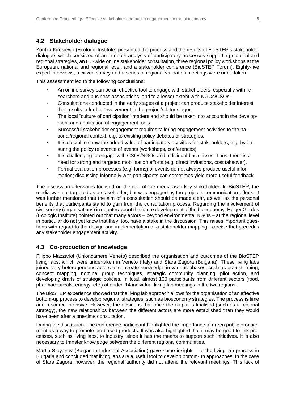### **4.2 Stakeholder dialogue**

Zoritza Kiresiewa (Ecologic Institute) presented the process and the results of BioSTEP's stakeholder dialogue, which consisted of an in-depth analysis of participatory processes supporting national and regional strategies, an EU-wide online stakeholder consultation, three regional policy workshops at the European, national and regional level, and a stakeholder conference (BioSTEP Forum). Eighty-five expert interviews, a citizen survey and a series of regional validation meetings were undertaken.

This assessment led to the following conclusions:

- An online survey can be an effective tool to engage with stakeholders, especially with researchers and business associations, and to a lesser extent with NGOs/CSOs.
- Consultations conducted in the early stages of a project can produce stakeholder interest that results in further involvement in the project's later stages.
- The local "culture of participation" matters and should be taken into account in the development and application of engagement tools.
- Successful stakeholder engagement requires tailoring engagement activities to the national/regional context, e.g. to existing policy debates or strategies.
- It is crucial to show the added value of participatory activities for stakeholders, e.g. by ensuring the policy relevance of events (workshops, conferences).
- It is challenging to engage with CSOs/NGOs and individual businesses. Thus, there is a need for strong and targeted mobilisation efforts (e.g. direct invitations, cost takeover).
- Formal evaluation processes (e.g. forms) of events do not always produce useful information; discussing informally with participants can sometimes yield more useful feedback.

The discussion afterwards focused on the role of the media as a key stakeholder. In BioSTEP, the media was not targeted as a stakeholder, but was engaged by the project's communication efforts. It was further mentioned that the aim of a consultation should be made clear, as well as the personal benefits that participants stand to gain from the consultation process. Regarding the involvement of civil society (organisations) in debates about the future development of the bioeconomy, Holger Gerdes (Ecologic Institute) pointed out that many actors – beyond environmental NGOs – at the regional level in particular do not yet know that they, too, have a stake in the discussion. This raises important questions with regard to the design and implementation of a stakeholder mapping exercise that precedes any stakeholder engagement activity.

### **4.3 Co-production of knowledge**

Filippo Mazzariol (Unioncamere Veneto) described the organisation and outcomes of the BioSTEP living labs, which were undertaken in Veneto (Italy) and Stara Zagora (Bulgaria). These living labs joined very heterogeneous actors to co-create knowledge in various phases, such as brainstorming, concept mapping, nominal group techniques, strategic community planning, pilot action, and developing drafts of strategic policies. In total, almost 100 participants from different sectors (food, pharmaceuticals, energy, etc.) attended 14 individual living lab meetings in the two regions.

The BioSTEP experience showed that the living lab approach allows for the organisation of an effective bottom-up process to develop regional strategies, such as bioeconomy strategies. The process is time and resource intensive. However, the upside is that once the output is finalised (such as a regional strategy), the new relationships between the different actors are more established than they would have been after a one-time consultation.

During the discussion, one conference participant highlighted the importance of green public procurement as a way to promote bio-based products. It was also highlighted that it may be good to link processes, such as living labs, to industry, since it has the means to support such initiatives. It is also necessary to transfer knowledge between the different regional communities.

Martin Stoyanov (Bulgarian Industrial Association) gave some insights into the living lab process in Bulgaria and concluded that living labs are a useful tool to develop bottom-up approaches. In the case of Stara Zagora, however, the regional authority did not attend the relevant meetings. This lack of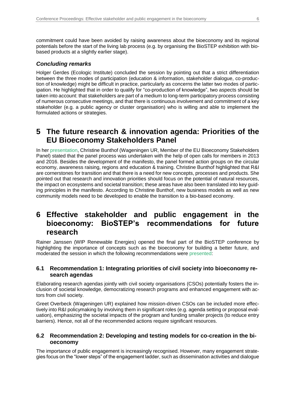commitment could have been avoided by raising awareness about the bioeconomy and its regional potentials before the start of the living lab process (e.g. by organising the BioSTEP exhibition with biobased products at a slightly earlier stage).

### *Concluding remarks*

Holger Gerdes (Ecologic Institute) concluded the session by pointing out that a strict differentiation between the three modes of participation (education & information, stakeholder dialogue, co-production of knowledge) might be difficult in practice, particularly as concerns the latter two modes of participation. He highlighted that in order to qualify for "co-production of knowledge", two aspects should be taken into account: that stakeholders are part of a medium to long-term participatory process consisting of numerous consecutive meetings, and that there is continuous involvement and commitment of a key stakeholder (e.g. a public agency or cluster organisation) who is willing and able to implement the formulated actions or strategies.

# **5 The future research & innovation agenda: Priorities of the EU Bioeconomy Stakeholders Panel**

In her [presentation,](https://www.bio-step.eu/fileadmin/BioSTEP/Bio_events/BioSTEP_Conference_Bunthof.pdf) Christine Bunthof (Wageningen UR, Member of the EU Bioeconomy Stakeholders Panel) stated that the panel process was undertaken with the help of open calls for members in 2013 and 2016. Besides the development of the manifesto, the panel formed action groups on the circular economy, awareness raising, regions and education & training. Christine Bunthof highlighted that R&I are cornerstones for transition and that there is a need for new concepts, processes and products. She pointed out that research and innovation priorities should focus on the potential of natural resources, the impact on ecosystems and societal transition; these areas have also been translated into key guiding principles in the manifesto. According to Christine Bunthof, new business models as well as new community models need to be developed to enable the transition to a bio-based economy.

# **6 Effective stakeholder and public engagement in the bioeconomy: BioSTEP's recommendations for future research**

Rainer Janssen (WIP Renewable Energies) opened the final part of the BioSTEP conference by highlighting the importance of concepts such as the bioeconomy for building a better future, and moderated the session in which the following recommendations were [presented:](https://www.bio-step.eu/fileadmin/BioSTEP/Bio_events/BioSTEP_Conference_Research_Recommendations.pdf)

### **6.1 Recommendation 1: Integrating priorities of civil society into bioeconomy research agendas**

Elaborating research agendas jointly with civil society organisations (CSOs) potentially fosters the inclusion of societal knowledge, democratizing research programs and enhanced engagement with actors from civil society.

Greet Overbeck (Wageningen UR) explained how mission-driven CSOs can be included more effectively into R&I policymaking by involving them in significant roles (e.g. agenda setting or proposal evaluation), emphasizing the societal impacts of the program and funding smaller projects (to reduce entry barriers). Hence, not all of the recommended actions require significant resources.

### **6.2 Recommendation 2: Developing and testing models for co-creation in the bioeconomy**

The importance of public engagement is increasingly recognised. However, many engagement strategies focus on the "lower steps" of the engagement ladder, such as dissemination activities and dialogue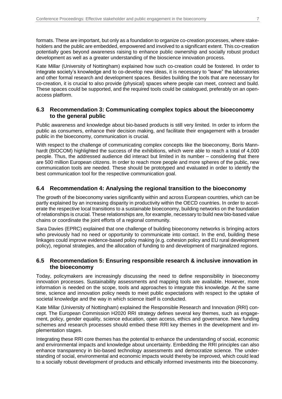formats. These are important, but only as a foundation to organize co-creation processes, where stakeholders and the public are embedded, empowered and involved to a significant extent. This co-creation potentially goes beyond awareness raising to enhance public ownership and socially robust product development as well as a greater understanding of the bioscience innovation process.

Kate Millar (University of Nottingham) explained how such co-creation could be fostered. In order to integrate society's knowledge and to co-develop new ideas, it is necessary to "leave" the laboratories and other formal research and development spaces. Besides building the tools that are necessary for co-creation, it is crucial to also provide (physical) spaces where people can meet, connect and build. These spaces could be supported, and the required tools could be catalogued, preferably on an openaccess platform.

#### **6.3 Recommendation 3: Communicating complex topics about the bioeconomy to the general public**

Public awareness and knowledge about bio-based products is still very limited. In order to inform the public as consumers, enhance their decision making, and facilitate their engagement with a broader public in the bioeconomy, communication is crucial.

With respect to the challenge of communicating complex concepts like the bioeconomy, Boris Mannhardt (BIOCOM) highlighted the success of the exhibitions, which were able to reach a total of 4,000 people. Thus, the addressed audience did interact but limited in its number – considering that there are 500 million European citizens. In order to reach more people and more spheres of the public, new communication tools are needed. These should be prototyped and evaluated in order to identify the best communication tool for the respective communication goal.

### **6.4 Recommendation 4: Analysing the regional transition to the bioeconomy**

The growth of the bioeconomy varies significantly within and across European countries, which can be partly explained by an increasing disparity in productivity within the OECD countries. In order to accelerate the respective local transitions to a sustainable bioeconomy, building networks on the foundation of relationships is crucial. These relationships are, for example, necessary to build new bio-based value chains or coordinate the joint efforts of a regional community.

Sara Davies (EPRC) explained that one challenge of building bioeconomy networks is bringing actors who previously had no need or opportunity to communicate into contact. In the end, building these linkages could improve evidence-based policy making (e.g. cohesion policy and EU rural development policy), regional strategies, and the allocation of funding to and development of marginalized regions.

### **6.5 Recommendation 5: Ensuring responsible research & inclusive innovation in the bioeconomy**

Today, policymakers are increasingly discussing the need to define responsibility in bioeconomy innovation processes. Sustainability assessments and mapping tools are available. However, more information is needed on the scope, tools and approaches to integrate this knowledge. At the same time, science and innovation policy needs to meet public expectations with respect to the uptake of societal knowledge and the way in which science itself is conducted.

Kate Millar (University of Nottingham) explained the Responsible Research and Innovation (RRI) concept. The European Commission H2020 RRI strategy defines several key themes, such as engagement, policy, gender equality, science education, open access, ethics and governance. New funding schemes and research processes should embed these RRI key themes in the development and implementation stages.

Integrating these RRI core themes has the potential to enhance the understanding of social, economic and environmental impacts and knowledge about uncertainty. Embedding the RRI principles can also enhance transparency in bio-based technology assessments and democratize science. The understanding of social, environmental and economic impacts would thereby be improved, which could lead to a socially robust development of products and ethically informed investments into the bioeconomy.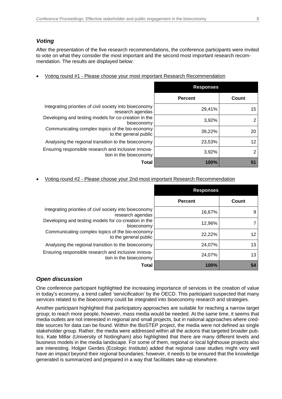### *Voting*

After the presentation of the five research recommendations, the conference participants were invited to vote on what they consider the most important and the second most important research recommendation. The results are displayed below:

|  |  |  |  |  | Voting round #1 - Please choose your most important Research Recommendation |
|--|--|--|--|--|-----------------------------------------------------------------------------|
|--|--|--|--|--|-----------------------------------------------------------------------------|

|                                                                               | <b>Responses</b> |       |
|-------------------------------------------------------------------------------|------------------|-------|
|                                                                               | <b>Percent</b>   | Count |
| Integrating priorities of civil society into bioeconomy<br>research agendas   | 29,41%           | 15    |
| Developing and testing models for co-creation in the<br>bioeconomy            | 3,92%            | 2     |
| Communicating complex topics of the bio-economy<br>to the general public      | 39,22%           | 20    |
| Analysing the regional transition to the bioeconomy                           | 23,53%           | 12    |
| Ensuring responsible research and inclusive innova-<br>tion in the bioeconomy | 3,92%            | 2     |
| Total                                                                         | 100%             | 51    |

Voting round #2 - Please choose your 2nd most important Research Recommendation

|                                                                                                                                                                                                                               | <b>Responses</b> |       |
|-------------------------------------------------------------------------------------------------------------------------------------------------------------------------------------------------------------------------------|------------------|-------|
|                                                                                                                                                                                                                               | <b>Percent</b>   | Count |
| Integrating priorities of civil society into bioeconomy<br>research agendas<br>Developing and testing models for co-creation in the<br>bioeconomy<br>Communicating complex topics of the bio-economy<br>to the general public | 16,67%           | 9     |
|                                                                                                                                                                                                                               | 12,96%           |       |
|                                                                                                                                                                                                                               | 22,22%           | 12    |
| Analysing the regional transition to the bioeconomy                                                                                                                                                                           | 24,07%           | 13    |
| Ensuring responsible research and inclusive innova-<br>tion in the bioeconomy                                                                                                                                                 | 24,07%           | 13    |
| Total                                                                                                                                                                                                                         | 100%             | 54    |

#### *Open discussion*

One conference participant highlighted the increasing importance of services in the creation of value in today's economy, a trend called 'servicification' by the OECD. This participant suspected that many services related to the bioeconomy could be integrated into bioeconomy research and strategies.

Another participant highlighted that participatory approaches are suitable for reaching a narrow target group; to reach more people, however, mass media would be needed. At the same time, it seems that media outlets are not interested in regional and small projects, but in national approaches where credible sources for data can be found. Within the BioSTEP project, the media were not defined as single stakeholder group. Rather, the media were addressed within all the actions that targeted broader publics. Kate Millar (University of Nottingham) also highlighted that there are many different levels and business models in the media landscape. For some of them, regional or local lighthouse projects also are interesting. Holger Gerdes (Ecologic Institute) added that regional case studies might very well have an impact beyond their regional boundaries; however, it needs to be ensured that the knowledge generated is summarized and prepared in a way that facilitates take-up elsewhere.